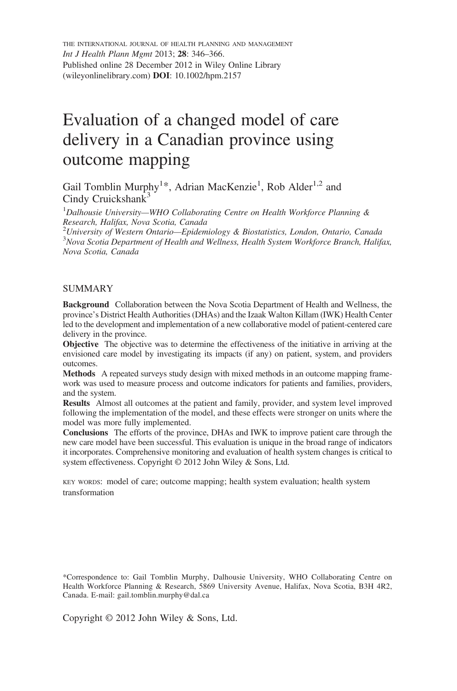THE INTERNATIONAL JOURNAL OF HEALTH PLANNING AND MANAGEMENT Int J Health Plann Mgmt 2013; 28: 346–366. Published online 28 December 2012 in Wiley Online Library (wileyonlinelibrary.com) DOI: 10.1002/hpm.2157

# Evaluation of a changed model of care delivery in a Canadian province using outcome mapping

Gail Tomblin Murphy<sup>1\*</sup>, Adrian MacKenzie<sup>1</sup>, Rob Alder<sup>1,2</sup> and Cindy Cruickshank<sup>3</sup>

<sup>1</sup>Dalhousie University—WHO Collaborating Centre on Health Workforce Planning & Research, Halifax, Nova Scotia, Canada

<sup>2</sup> University of Western Ontario—Epidemiology & Biostatistics, London, Ontario, Canada<br><sup>3</sup> Nova Sectia Department of Health and Wellness, Health System Workforce Branch, Halif  $3$ Nova Scotia Department of Health and Wellness, Health System Workforce Branch, Halifax, Nova Scotia, Canada

#### SUMMARY

Background Collaboration between the Nova Scotia Department of Health and Wellness, the province's District Health Authorities (DHAs) and the Izaak Walton Killam (IWK) Health Center led to the development and implementation of a new collaborative model of patient-centered care delivery in the province.

Objective The objective was to determine the effectiveness of the initiative in arriving at the envisioned care model by investigating its impacts (if any) on patient, system, and providers outcomes.

Methods A repeated surveys study design with mixed methods in an outcome mapping framework was used to measure process and outcome indicators for patients and families, providers, and the system.

Results Almost all outcomes at the patient and family, provider, and system level improved following the implementation of the model, and these effects were stronger on units where the model was more fully implemented.

Conclusions The efforts of the province, DHAs and IWK to improve patient care through the new care model have been successful. This evaluation is unique in the broad range of indicators it incorporates. Comprehensive monitoring and evaluation of health system changes is critical to system effectiveness. Copyright © 2012 John Wiley & Sons, Ltd.

KEY WORDS: model of care; outcome mapping; health system evaluation; health system transformation

\*Correspondence to: Gail Tomblin Murphy, Dalhousie University, WHO Collaborating Centre on Health Workforce Planning & Research, 5869 University Avenue, Halifax, Nova Scotia, B3H 4R2, Canada. E-mail: gail.tomblin.murphy@dal.ca

Copyright © 2012 John Wiley & Sons, Ltd.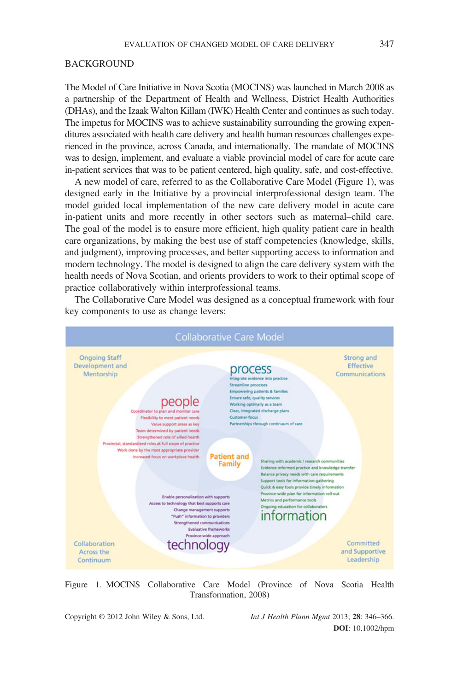#### BACKGROUND

The Model of Care Initiative in Nova Scotia (MOCINS) was launched in March 2008 as a partnership of the Department of Health and Wellness, District Health Authorities (DHAs), and the Izaak Walton Killam (IWK) Health Center and continues as such today. The impetus for MOCINS was to achieve sustainability surrounding the growing expenditures associated with health care delivery and health human resources challenges experienced in the province, across Canada, and internationally. The mandate of MOCINS was to design, implement, and evaluate a viable provincial model of care for acute care in-patient services that was to be patient centered, high quality, safe, and cost-effective.

A new model of care, referred to as the Collaborative Care Model (Figure 1), was designed early in the Initiative by a provincial interprofessional design team. The model guided local implementation of the new care delivery model in acute care in-patient units and more recently in other sectors such as maternal–child care. The goal of the model is to ensure more efficient, high quality patient care in health care organizations, by making the best use of staff competencies (knowledge, skills, and judgment), improving processes, and better supporting access to information and modern technology. The model is designed to align the care delivery system with the health needs of Nova Scotian, and orients providers to work to their optimal scope of practice collaboratively within interprofessional teams.

The Collaborative Care Model was designed as a conceptual framework with four key components to use as change levers:



Figure 1. MOCINS Collaborative Care Model (Province of Nova Scotia Health Transformation, 2008)

Copyright © 2012 John Wiley & Sons, Ltd. Int J Health Plann Mgmt 2013; 28: 346–366. DOI: 10.1002/hpm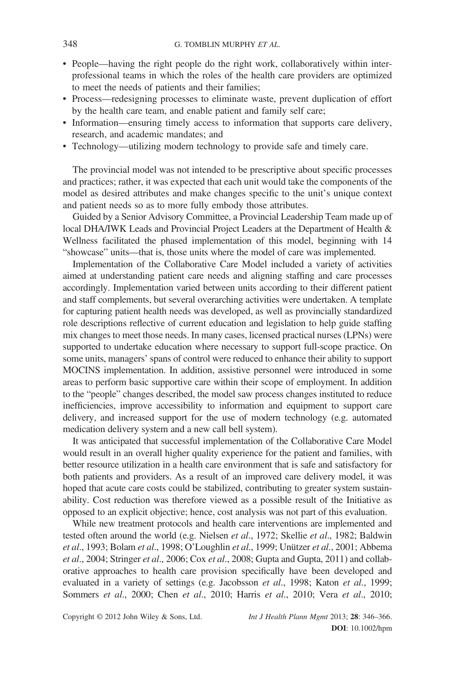- People—having the right people do the right work, collaboratively within interprofessional teams in which the roles of the health care providers are optimized to meet the needs of patients and their families;
- Process—redesigning processes to eliminate waste, prevent duplication of effort by the health care team, and enable patient and family self care;
- Information—ensuring timely access to information that supports care delivery, research, and academic mandates; and
- Technology—utilizing modern technology to provide safe and timely care.

The provincial model was not intended to be prescriptive about specific processes and practices; rather, it was expected that each unit would take the components of the model as desired attributes and make changes specific to the unit's unique context and patient needs so as to more fully embody those attributes.

Guided by a Senior Advisory Committee, a Provincial Leadership Team made up of local DHA/IWK Leads and Provincial Project Leaders at the Department of Health & Wellness facilitated the phased implementation of this model, beginning with 14 "showcase" units—that is, those units where the model of care was implemented.

Implementation of the Collaborative Care Model included a variety of activities aimed at understanding patient care needs and aligning staffing and care processes accordingly. Implementation varied between units according to their different patient and staff complements, but several overarching activities were undertaken. A template for capturing patient health needs was developed, as well as provincially standardized role descriptions reflective of current education and legislation to help guide staffing mix changes to meet those needs. In many cases, licensed practical nurses (LPNs) were supported to undertake education where necessary to support full-scope practice. On some units, managers' spans of control were reduced to enhance their ability to support MOCINS implementation. In addition, assistive personnel were introduced in some areas to perform basic supportive care within their scope of employment. In addition to the "people" changes described, the model saw process changes instituted to reduce inefficiencies, improve accessibility to information and equipment to support care delivery, and increased support for the use of modern technology (e.g. automated medication delivery system and a new call bell system).

It was anticipated that successful implementation of the Collaborative Care Model would result in an overall higher quality experience for the patient and families, with better resource utilization in a health care environment that is safe and satisfactory for both patients and providers. As a result of an improved care delivery model, it was hoped that acute care costs could be stabilized, contributing to greater system sustainability. Cost reduction was therefore viewed as a possible result of the Initiative as opposed to an explicit objective; hence, cost analysis was not part of this evaluation.

While new treatment protocols and health care interventions are implemented and tested often around the world (e.g. Nielsen et al., 1972; Skellie et al., 1982; Baldwin et al., 1993; Bolam et al., 1998; O'Loughlin et al., 1999; Unützer et al., 2001; Abbema et al., 2004; Stringer et al., 2006; Cox et al., 2008; Gupta and Gupta, 2011) and collaborative approaches to health care provision specifically have been developed and evaluated in a variety of settings (e.g. Jacobsson et al., 1998; Katon et al., 1999; Sommers et al., 2000; Chen et al., 2010; Harris et al., 2010; Vera et al., 2010;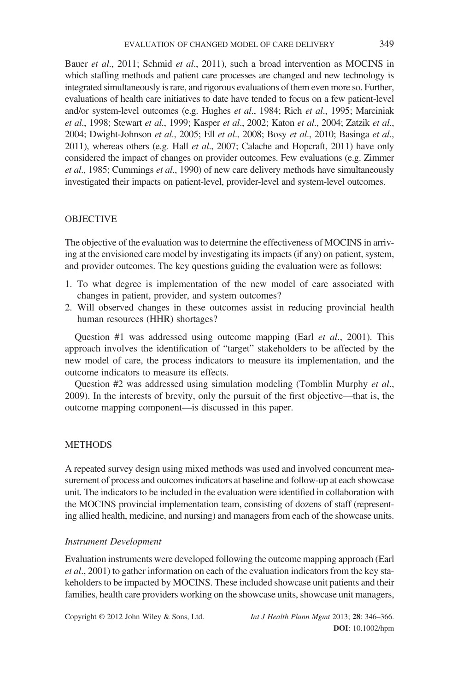Bauer et al., 2011; Schmid et al., 2011), such a broad intervention as MOCINS in which staffing methods and patient care processes are changed and new technology is integrated simultaneously is rare, and rigorous evaluations of them even more so. Further, evaluations of health care initiatives to date have tended to focus on a few patient-level and/or system-level outcomes (e.g. Hughes et al., 1984; Rich et al., 1995; Marciniak et al., 1998; Stewart et al., 1999; Kasper et al., 2002; Katon et al., 2004; Zatzik et al., 2004; Dwight-Johnson et al., 2005; Ell et al., 2008; Bosy et al., 2010; Basinga et al., 2011), whereas others (e.g. Hall *et al.*, 2007; Calache and Hopcraft, 2011) have only considered the impact of changes on provider outcomes. Few evaluations (e.g. Zimmer et al., 1985; Cummings et al., 1990) of new care delivery methods have simultaneously investigated their impacts on patient-level, provider-level and system-level outcomes.

# **OBJECTIVE**

The objective of the evaluation was to determine the effectiveness of MOCINS in arriving at the envisioned care model by investigating its impacts (if any) on patient, system, and provider outcomes. The key questions guiding the evaluation were as follows:

- 1. To what degree is implementation of the new model of care associated with changes in patient, provider, and system outcomes?
- 2. Will observed changes in these outcomes assist in reducing provincial health human resources (HHR) shortages?

Question #1 was addressed using outcome mapping (Earl et al., 2001). This approach involves the identification of "target" stakeholders to be affected by the new model of care, the process indicators to measure its implementation, and the outcome indicators to measure its effects.

Question #2 was addressed using simulation modeling (Tomblin Murphy et al., 2009). In the interests of brevity, only the pursuit of the first objective—that is, the outcome mapping component—is discussed in this paper.

# **METHODS**

A repeated survey design using mixed methods was used and involved concurrent measurement of process and outcomes indicators at baseline and follow-up at each showcase unit. The indicators to be included in the evaluation were identified in collaboration with the MOCINS provincial implementation team, consisting of dozens of staff (representing allied health, medicine, and nursing) and managers from each of the showcase units.

#### Instrument Development

Evaluation instruments were developed following the outcome mapping approach (Earl et al., 2001) to gather information on each of the evaluation indicators from the key stakeholders to be impacted by MOCINS. These included showcase unit patients and their families, health care providers working on the showcase units, showcase unit managers,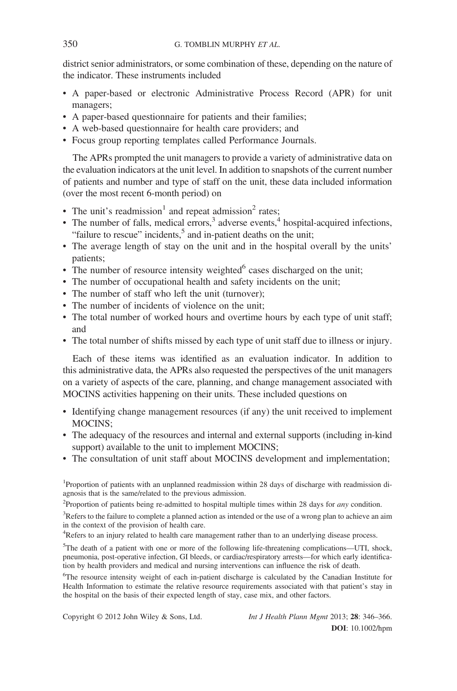district senior administrators, or some combination of these, depending on the nature of the indicator. These instruments included

- A paper-based or electronic Administrative Process Record (APR) for unit managers;
- A paper-based questionnaire for patients and their families;
- A web-based questionnaire for health care providers; and
- Focus group reporting templates called Performance Journals.

The APRs prompted the unit managers to provide a variety of administrative data on the evaluation indicators at the unit level. In addition to snapshots of the current number of patients and number and type of staff on the unit, these data included information (over the most recent 6-month period) on

- The unit's readmission<sup>1</sup> and repeat admission<sup>2</sup> rates;
- The number of falls, medical errors,<sup>3</sup> adverse events,<sup>4</sup> hospital-acquired infections, "failure to rescue" incidents,<sup>5</sup> and in-patient deaths on the unit;
- The average length of stay on the unit and in the hospital overall by the units' patients;
- The number of resource intensity weighted $6$  cases discharged on the unit;
- The number of occupational health and safety incidents on the unit;
- The number of staff who left the unit (turnover);
- The number of incidents of violence on the unit;
- The total number of worked hours and overtime hours by each type of unit staff; and
- The total number of shifts missed by each type of unit staff due to illness or injury.

Each of these items was identified as an evaluation indicator. In addition to this administrative data, the APRs also requested the perspectives of the unit managers on a variety of aspects of the care, planning, and change management associated with MOCINS activities happening on their units. These included questions on

- Identifying change management resources (if any) the unit received to implement MOCINS;
- The adequacy of the resources and internal and external supports (including in-kind support) available to the unit to implement MOCINS;
- The consultation of unit staff about MOCINS development and implementation;

<sup>1</sup>Proportion of patients with an unplanned readmission within 28 days of discharge with readmission diagnosis that is the same/related to the previous admission.

<sup>2</sup>Proportion of patients being re-admitted to hospital multiple times within 28 days for *any* condition.

<sup>3</sup>Refers to the failure to complete a planned action as intended or the use of a wrong plan to achieve an aim in the context of the provision of health care.

<sup>4</sup>Refers to an injury related to health care management rather than to an underlying disease process.

<sup>5</sup>The death of a patient with one or more of the following life-threatening complications—UTI, shock, pneumonia, post-operative infection, GI bleeds, or cardiac/respiratory arrests—for which early identification by health providers and medical and nursing interventions can influence the risk of death.

<sup>6</sup>The resource intensity weight of each in-patient discharge is calculated by the Canadian Institute for Health Information to estimate the relative resource requirements associated with that patient's stay in the hospital on the basis of their expected length of stay, case mix, and other factors.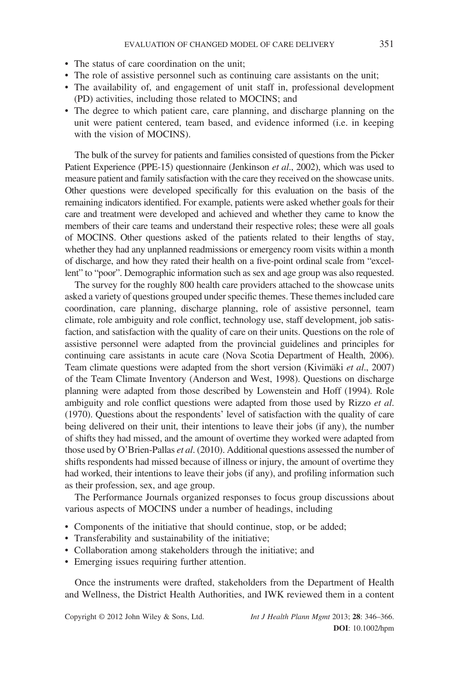- The status of care coordination on the unit:
- The role of assistive personnel such as continuing care assistants on the unit;
- The availability of, and engagement of unit staff in, professional development (PD) activities, including those related to MOCINS; and
- The degree to which patient care, care planning, and discharge planning on the unit were patient centered, team based, and evidence informed (i.e. in keeping with the vision of MOCINS).

The bulk of the survey for patients and families consisted of questions from the Picker Patient Experience (PPE-15) questionnaire (Jenkinson et al., 2002), which was used to measure patient and family satisfaction with the care they received on the showcase units. Other questions were developed specifically for this evaluation on the basis of the remaining indicators identified. For example, patients were asked whether goals for their care and treatment were developed and achieved and whether they came to know the members of their care teams and understand their respective roles; these were all goals of MOCINS. Other questions asked of the patients related to their lengths of stay, whether they had any unplanned readmissions or emergency room visits within a month of discharge, and how they rated their health on a five-point ordinal scale from "excellent" to "poor". Demographic information such as sex and age group was also requested.

The survey for the roughly 800 health care providers attached to the showcase units asked a variety of questions grouped under specific themes. These themes included care coordination, care planning, discharge planning, role of assistive personnel, team climate, role ambiguity and role conflict, technology use, staff development, job satisfaction, and satisfaction with the quality of care on their units. Questions on the role of assistive personnel were adapted from the provincial guidelines and principles for continuing care assistants in acute care (Nova Scotia Department of Health, 2006). Team climate questions were adapted from the short version (Kivimäki et al., 2007) of the Team Climate Inventory (Anderson and West, 1998). Questions on discharge planning were adapted from those described by Lowenstein and Hoff (1994). Role ambiguity and role conflict questions were adapted from those used by Rizzo et al. (1970). Questions about the respondents' level of satisfaction with the quality of care being delivered on their unit, their intentions to leave their jobs (if any), the number of shifts they had missed, and the amount of overtime they worked were adapted from those used by O'Brien-Pallas et al. (2010). Additional questions assessed the number of shifts respondents had missed because of illness or injury, the amount of overtime they had worked, their intentions to leave their jobs (if any), and profiling information such as their profession, sex, and age group.

The Performance Journals organized responses to focus group discussions about various aspects of MOCINS under a number of headings, including

- Components of the initiative that should continue, stop, or be added;
- Transferability and sustainability of the initiative;
- Collaboration among stakeholders through the initiative; and
- Emerging issues requiring further attention.

Once the instruments were drafted, stakeholders from the Department of Health and Wellness, the District Health Authorities, and IWK reviewed them in a content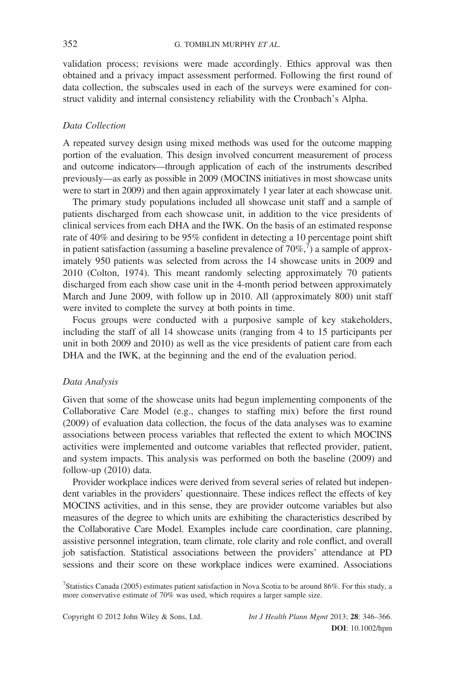validation process; revisions were made accordingly. Ethics approval was then obtained and a privacy impact assessment performed. Following the first round of data collection, the subscales used in each of the surveys were examined for construct validity and internal consistency reliability with the Cronbach's Alpha.

#### Data Collection

A repeated survey design using mixed methods was used for the outcome mapping portion of the evaluation. This design involved concurrent measurement of process and outcome indicators—through application of each of the instruments described previously—as early as possible in 2009 (MOCINS initiatives in most showcase units were to start in 2009) and then again approximately 1 year later at each showcase unit.

The primary study populations included all showcase unit staff and a sample of patients discharged from each showcase unit, in addition to the vice presidents of clinical services from each DHA and the IWK. On the basis of an estimated response rate of 40% and desiring to be 95% confident in detecting a 10 percentage point shift in patient satisfaction (assuming a baseline prevalence of 70%,  $\bar{j}$ ) a sample of approximately 950 patients was selected from across the 14 showcase units in 2009 and 2010 (Colton, 1974). This meant randomly selecting approximately 70 patients discharged from each show case unit in the 4-month period between approximately March and June 2009, with follow up in 2010. All (approximately 800) unit staff were invited to complete the survey at both points in time.

Focus groups were conducted with a purposive sample of key stakeholders, including the staff of all 14 showcase units (ranging from 4 to 15 participants per unit in both 2009 and 2010) as well as the vice presidents of patient care from each DHA and the IWK, at the beginning and the end of the evaluation period.

#### Data Analysis

Given that some of the showcase units had begun implementing components of the Collaborative Care Model (e.g., changes to staffing mix) before the first round (2009) of evaluation data collection, the focus of the data analyses was to examine associations between process variables that reflected the extent to which MOCINS activities were implemented and outcome variables that reflected provider, patient, and system impacts. This analysis was performed on both the baseline (2009) and follow-up (2010) data.

Provider workplace indices were derived from several series of related but independent variables in the providers' questionnaire. These indices reflect the effects of key MOCINS activities, and in this sense, they are provider outcome variables but also measures of the degree to which units are exhibiting the characteristics described by the Collaborative Care Model. Examples include care coordination, care planning, assistive personnel integration, team climate, role clarity and role conflict, and overall job satisfaction. Statistical associations between the providers' attendance at PD sessions and their score on these workplace indices were examined. Associations

<sup>7</sup>Statistics Canada (2005) estimates patient satisfaction in Nova Scotia to be around 86%. For this study, a more conservative estimate of 70% was used, which requires a larger sample size.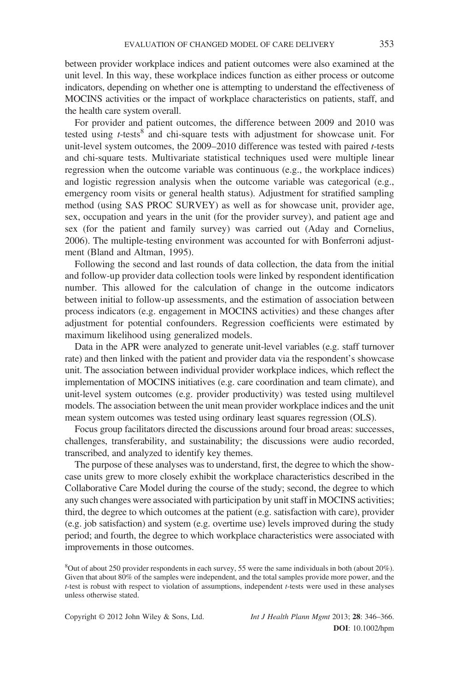between provider workplace indices and patient outcomes were also examined at the unit level. In this way, these workplace indices function as either process or outcome indicators, depending on whether one is attempting to understand the effectiveness of MOCINS activities or the impact of workplace characteristics on patients, staff, and the health care system overall.

For provider and patient outcomes, the difference between 2009 and 2010 was tested using  $t$ -tests ${}^{8}$  and chi-square tests with adjustment for showcase unit. For unit-level system outcomes, the 2009–2010 difference was tested with paired t-tests and chi-square tests. Multivariate statistical techniques used were multiple linear regression when the outcome variable was continuous (e.g., the workplace indices) and logistic regression analysis when the outcome variable was categorical (e.g., emergency room visits or general health status). Adjustment for stratified sampling method (using SAS PROC SURVEY) as well as for showcase unit, provider age, sex, occupation and years in the unit (for the provider survey), and patient age and sex (for the patient and family survey) was carried out (Aday and Cornelius, 2006). The multiple-testing environment was accounted for with Bonferroni adjustment (Bland and Altman, 1995).

Following the second and last rounds of data collection, the data from the initial and follow-up provider data collection tools were linked by respondent identification number. This allowed for the calculation of change in the outcome indicators between initial to follow-up assessments, and the estimation of association between process indicators (e.g. engagement in MOCINS activities) and these changes after adjustment for potential confounders. Regression coefficients were estimated by maximum likelihood using generalized models.

Data in the APR were analyzed to generate unit-level variables (e.g. staff turnover rate) and then linked with the patient and provider data via the respondent's showcase unit. The association between individual provider workplace indices, which reflect the implementation of MOCINS initiatives (e.g. care coordination and team climate), and unit-level system outcomes (e.g. provider productivity) was tested using multilevel models. The association between the unit mean provider workplace indices and the unit mean system outcomes was tested using ordinary least squares regression (OLS).

Focus group facilitators directed the discussions around four broad areas: successes, challenges, transferability, and sustainability; the discussions were audio recorded, transcribed, and analyzed to identify key themes.

The purpose of these analyses was to understand, first, the degree to which the showcase units grew to more closely exhibit the workplace characteristics described in the Collaborative Care Model during the course of the study; second, the degree to which any such changes were associated with participation by unit staff in MOCINS activities; third, the degree to which outcomes at the patient (e.g. satisfaction with care), provider (e.g. job satisfaction) and system (e.g. overtime use) levels improved during the study period; and fourth, the degree to which workplace characteristics were associated with improvements in those outcomes.

 ${}^{8}$ Out of about 250 provider respondents in each survey, 55 were the same individuals in both (about 20%). Given that about 80% of the samples were independent, and the total samples provide more power, and the t-test is robust with respect to violation of assumptions, independent t-tests were used in these analyses unless otherwise stated.

Copyright © 2012 John Wiley & Sons, Ltd. Int J Health Plann Mgmt 2013; 28: 346–366. DOI: 10.1002/hpm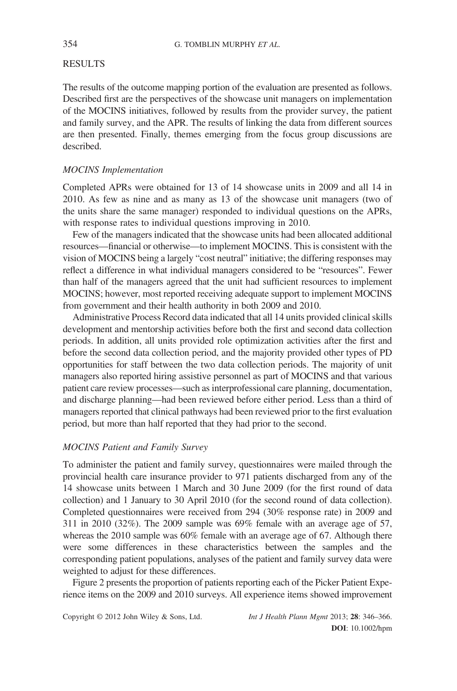#### RESULTS

The results of the outcome mapping portion of the evaluation are presented as follows. Described first are the perspectives of the showcase unit managers on implementation of the MOCINS initiatives, followed by results from the provider survey, the patient and family survey, and the APR. The results of linking the data from different sources are then presented. Finally, themes emerging from the focus group discussions are described.

## MOCINS Implementation

Completed APRs were obtained for 13 of 14 showcase units in 2009 and all 14 in 2010. As few as nine and as many as 13 of the showcase unit managers (two of the units share the same manager) responded to individual questions on the APRs, with response rates to individual questions improving in 2010.

Few of the managers indicated that the showcase units had been allocated additional resources—financial or otherwise—to implement MOCINS. This is consistent with the vision of MOCINS being a largely "cost neutral" initiative; the differing responses may reflect a difference in what individual managers considered to be "resources". Fewer than half of the managers agreed that the unit had sufficient resources to implement MOCINS; however, most reported receiving adequate support to implement MOCINS from government and their health authority in both 2009 and 2010.

Administrative Process Record data indicated that all 14 units provided clinical skills development and mentorship activities before both the first and second data collection periods. In addition, all units provided role optimization activities after the first and before the second data collection period, and the majority provided other types of PD opportunities for staff between the two data collection periods. The majority of unit managers also reported hiring assistive personnel as part of MOCINS and that various patient care review processes—such as interprofessional care planning, documentation, and discharge planning—had been reviewed before either period. Less than a third of managers reported that clinical pathways had been reviewed prior to the first evaluation period, but more than half reported that they had prior to the second.

## MOCINS Patient and Family Survey

To administer the patient and family survey, questionnaires were mailed through the provincial health care insurance provider to 971 patients discharged from any of the 14 showcase units between 1 March and 30 June 2009 (for the first round of data collection) and 1 January to 30 April 2010 (for the second round of data collection). Completed questionnaires were received from 294 (30% response rate) in 2009 and 311 in 2010 (32%). The 2009 sample was 69% female with an average age of 57, whereas the 2010 sample was 60% female with an average age of 67. Although there were some differences in these characteristics between the samples and the corresponding patient populations, analyses of the patient and family survey data were weighted to adjust for these differences.

Figure 2 presents the proportion of patients reporting each of the Picker Patient Experience items on the 2009 and 2010 surveys. All experience items showed improvement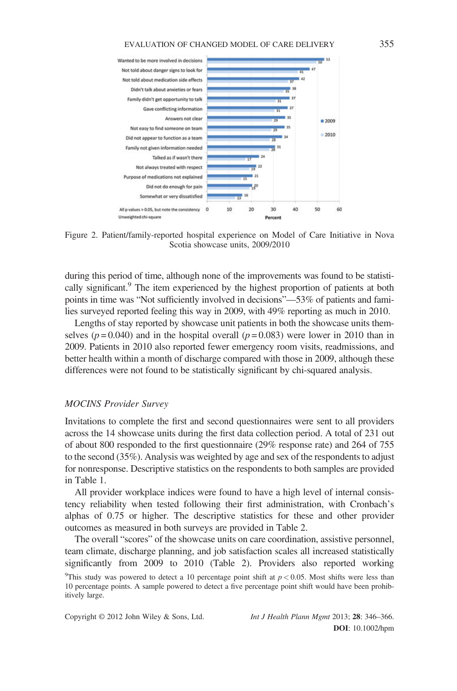

Figure 2. Patient/family-reported hospital experience on Model of Care Initiative in Nova Scotia showcase units, 2009/2010

during this period of time, although none of the improvements was found to be statistically significant.<sup>9</sup> The item experienced by the highest proportion of patients at both points in time was "Not sufficiently involved in decisions"—53% of patients and families surveyed reported feeling this way in 2009, with 49% reporting as much in 2010.

Lengths of stay reported by showcase unit patients in both the showcase units themselves ( $p = 0.040$ ) and in the hospital overall ( $p = 0.083$ ) were lower in 2010 than in 2009. Patients in 2010 also reported fewer emergency room visits, readmissions, and better health within a month of discharge compared with those in 2009, although these differences were not found to be statistically significant by chi-squared analysis.

### MOCINS Provider Survey

Invitations to complete the first and second questionnaires were sent to all providers across the 14 showcase units during the first data collection period. A total of 231 out of about 800 responded to the first questionnaire (29% response rate) and 264 of 755 to the second (35%). Analysis was weighted by age and sex of the respondents to adjust for nonresponse. Descriptive statistics on the respondents to both samples are provided in Table 1.

All provider workplace indices were found to have a high level of internal consistency reliability when tested following their first administration, with Cronbach's alphas of 0.75 or higher. The descriptive statistics for these and other provider outcomes as measured in both surveys are provided in Table 2.

The overall "scores" of the showcase units on care coordination, assistive personnel, team climate, discharge planning, and job satisfaction scales all increased statistically significantly from 2009 to 2010 (Table 2). Providers also reported working <sup>9</sup>This study was powered to detect a 10 percentage point shift at  $p < 0.05$ . Most shifts were less than 10 percentage points. A sample powered to detect a five percentage point shift would have been prohibitively large.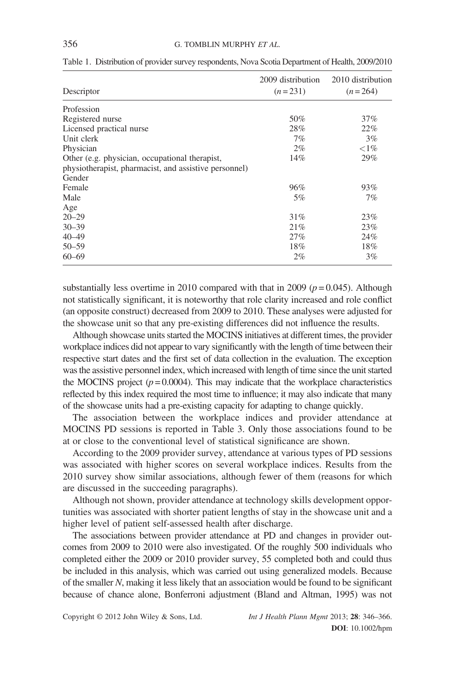|                                                       | 2009 distribution | 2010 distribution |
|-------------------------------------------------------|-------------------|-------------------|
| Descriptor                                            | $(n=231)$         | $(n=264)$         |
| Profession                                            |                   |                   |
| Registered nurse                                      | 50%               | 37%               |
| Licensed practical nurse                              | 28%               | 22%               |
| Unit clerk                                            | 7%                | 3%                |
| Physician                                             | $2\%$             | ${<}1\%$          |
| Other (e.g. physician, occupational therapist,        | 14%               | 29%               |
| physiotherapist, pharmacist, and assistive personnel) |                   |                   |
| Gender                                                |                   |                   |
| Female                                                | 96%               | 93%               |
| Male                                                  | 5%                | 7%                |
| Age                                                   |                   |                   |
| $20 - 29$                                             | 31%               | 23%               |
| $30 - 39$                                             | 21%               | 23%               |
| $40 - 49$                                             | 27%               | 24%               |
| $50 - 59$                                             | 18%               | 18%               |
| $60 - 69$                                             | $2\%$             | $3\%$             |

Table 1. Distribution of provider survey respondents, Nova Scotia Department of Health, 2009/2010

substantially less overtime in 2010 compared with that in 2009 ( $p = 0.045$ ). Although not statistically significant, it is noteworthy that role clarity increased and role conflict (an opposite construct) decreased from 2009 to 2010. These analyses were adjusted for the showcase unit so that any pre-existing differences did not influence the results.

Although showcase units started the MOCINS initiatives at different times, the provider workplace indices did not appear to vary significantly with the length of time between their respective start dates and the first set of data collection in the evaluation. The exception was the assistive personnel index, which increased with length of time since the unit started the MOCINS project  $(p = 0.0004)$ . This may indicate that the workplace characteristics reflected by this index required the most time to influence; it may also indicate that many of the showcase units had a pre-existing capacity for adapting to change quickly.

The association between the workplace indices and provider attendance at MOCINS PD sessions is reported in Table 3. Only those associations found to be at or close to the conventional level of statistical significance are shown.

According to the 2009 provider survey, attendance at various types of PD sessions was associated with higher scores on several workplace indices. Results from the 2010 survey show similar associations, although fewer of them (reasons for which are discussed in the succeeding paragraphs).

Although not shown, provider attendance at technology skills development opportunities was associated with shorter patient lengths of stay in the showcase unit and a higher level of patient self-assessed health after discharge.

The associations between provider attendance at PD and changes in provider outcomes from 2009 to 2010 were also investigated. Of the roughly 500 individuals who completed either the 2009 or 2010 provider survey, 55 completed both and could thus be included in this analysis, which was carried out using generalized models. Because of the smaller N, making it less likely that an association would be found to be significant because of chance alone, Bonferroni adjustment (Bland and Altman, 1995) was not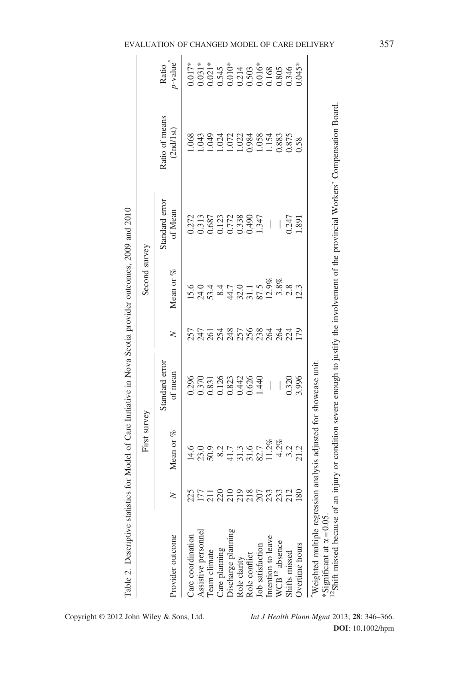|                                                                                                            |            | First survey                                                                                                                                                                                                                                                                                                  |                                                        |        | Second survey                                                                                                                                                                                                                                                                                       |                                                           |                                                                                                             |                                                                                                                             |
|------------------------------------------------------------------------------------------------------------|------------|---------------------------------------------------------------------------------------------------------------------------------------------------------------------------------------------------------------------------------------------------------------------------------------------------------------|--------------------------------------------------------|--------|-----------------------------------------------------------------------------------------------------------------------------------------------------------------------------------------------------------------------------------------------------------------------------------------------------|-----------------------------------------------------------|-------------------------------------------------------------------------------------------------------------|-----------------------------------------------------------------------------------------------------------------------------|
| Provider outcome                                                                                           |            | Mean or %                                                                                                                                                                                                                                                                                                     | Standard error<br>of mean                              | $\geq$ | Mean or %                                                                                                                                                                                                                                                                                           | Standard error<br>of Mean                                 | Ratio of means<br>(2nd/1st)                                                                                 | $p$ -value <sup><math>\hat{ }</math></sup><br>Ratio                                                                         |
| Care coordination                                                                                          |            |                                                                                                                                                                                                                                                                                                               |                                                        |        |                                                                                                                                                                                                                                                                                                     |                                                           | .068                                                                                                        |                                                                                                                             |
| Assistive personnel                                                                                        |            | $\begin{array}{l} 1.73 \\ 1.73 \\ 1.74 \\ 1.75 \\ 1.76 \\ 1.77 \\ 1.78 \\ 1.79 \\ 1.79 \\ 1.70 \\ 1.73 \\ 1.73 \\ 1.73 \\ 1.73 \\ 1.73 \\ 1.73 \\ 1.73 \\ 1.73 \\ 1.73 \\ 1.73 \\ 1.73 \\ 1.73 \\ 1.73 \\ 1.73 \\ 1.73 \\ 1.73 \\ 1.73 \\ 1.73 \\ 1.73 \\ 1.73 \\ 1.73 \\ 1.73 \\ 1.73 \\ 1.73 \\ 1.73 \\ 1.$ | 0.296<br>0.370<br>0.323<br>0.32342<br>0.440<br>0.32342 |        | $\begin{array}{l} 29.88 \\ 20.44 \\ 20.44 \\ 20.44 \\ 20.44 \\ 20.44 \\ 20.44 \\ 20.44 \\ 20.44 \\ 20.44 \\ 20.44 \\ 20.44 \\ 20.44 \\ 20.44 \\ 20.44 \\ 20.44 \\ 20.44 \\ 20.44 \\ 20.44 \\ 20.44 \\ 20.44 \\ 20.44 \\ 20.44 \\ 20.44 \\ 20.44 \\ 20.44 \\ 20.44 \\ 20.44 \\ 20.44 \\ 20.44 \\ 20$ | 272<br>0.313<br>0.687<br>0.772<br>0.338<br>0.437<br>0.438 |                                                                                                             | $0.017$<br>$0.031$<br>$0.031$<br>$0.0345$<br>$0.0345$<br>$0.0345$<br>$0.0345$<br>$0.0345$<br>$0.0345$<br>$0.045$<br>$0.045$ |
| Team climate                                                                                               |            |                                                                                                                                                                                                                                                                                                               |                                                        |        |                                                                                                                                                                                                                                                                                                     |                                                           | 670<br>670                                                                                                  |                                                                                                                             |
|                                                                                                            |            |                                                                                                                                                                                                                                                                                                               |                                                        |        |                                                                                                                                                                                                                                                                                                     |                                                           |                                                                                                             |                                                                                                                             |
| Care planning<br>Discharge planning                                                                        |            |                                                                                                                                                                                                                                                                                                               |                                                        |        |                                                                                                                                                                                                                                                                                                     |                                                           | 1.024<br>1.072<br>1.084<br>1.058<br>1.154<br>1.154                                                          |                                                                                                                             |
|                                                                                                            |            |                                                                                                                                                                                                                                                                                                               |                                                        |        |                                                                                                                                                                                                                                                                                                     |                                                           |                                                                                                             |                                                                                                                             |
| Role clarity<br>Role conflict                                                                              |            |                                                                                                                                                                                                                                                                                                               |                                                        |        |                                                                                                                                                                                                                                                                                                     |                                                           |                                                                                                             |                                                                                                                             |
| Job satisfaction                                                                                           | 218<br>207 |                                                                                                                                                                                                                                                                                                               |                                                        |        |                                                                                                                                                                                                                                                                                                     |                                                           |                                                                                                             |                                                                                                                             |
| intention to leave                                                                                         | 233        |                                                                                                                                                                                                                                                                                                               | $\overline{\phantom{a}}$                               |        |                                                                                                                                                                                                                                                                                                     |                                                           |                                                                                                             |                                                                                                                             |
| $WCB12$ absence                                                                                            |            |                                                                                                                                                                                                                                                                                                               | $\overline{\phantom{a}}$                               |        |                                                                                                                                                                                                                                                                                                     |                                                           |                                                                                                             |                                                                                                                             |
| Shifts missed                                                                                              |            |                                                                                                                                                                                                                                                                                                               |                                                        |        |                                                                                                                                                                                                                                                                                                     | 0.247                                                     | 0.875                                                                                                       |                                                                                                                             |
| Overtime hours                                                                                             |            |                                                                                                                                                                                                                                                                                                               | 0.320                                                  | 179    | 2.3                                                                                                                                                                                                                                                                                                 | <b>168</b>                                                | 0.58                                                                                                        |                                                                                                                             |
| Weighted multiple regressio<br>Significant at $\alpha = 0.05$ .<br><sup>2</sup> Shift missed because of an |            | m analysis adjusted for showcase unit                                                                                                                                                                                                                                                                         |                                                        |        |                                                                                                                                                                                                                                                                                                     |                                                           | injury or condition severe enough to justify the involvement of the provincial Workers' Compensation Board. |                                                                                                                             |

Table 2. Descriptive statistics for Model of Care Initiative in Nova Scotia provider outcomes, 2009 and 2010 Table 2. Descriptive statistics for Model of Care Initiative in Nova Scotia provider outcomes, 2009 and 2010

 $\overline{\phantom{a}}$ 

Copyright © 2012 John Wiley & Sons, Ltd. Int J Health Plann Mgmt 2013; 28: 346-366. DOI: 10.1002/hpm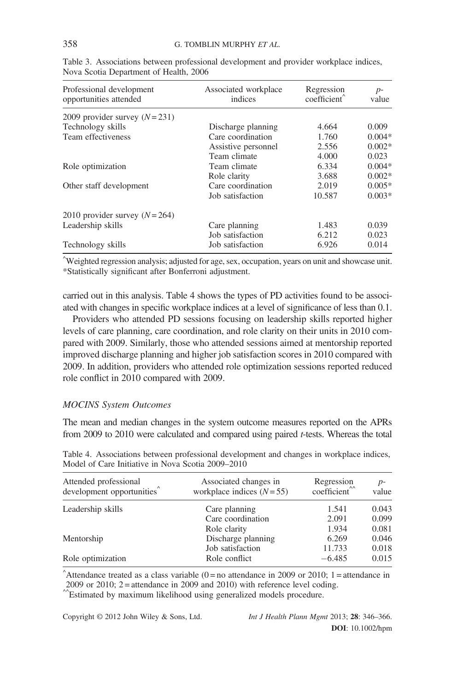| Professional development<br>opportunities attended | Associated workplace<br>indices | Regression<br>coefficient | $p-$<br>value |
|----------------------------------------------------|---------------------------------|---------------------------|---------------|
| 2009 provider survey $(N=231)$                     |                                 |                           |               |
| Technology skills                                  | Discharge planning              | 4.664                     | 0.009         |
| Team effectiveness                                 | Care coordination               | 1.760                     | $0.004*$      |
|                                                    | Assistive personnel             | 2.556                     | $0.002*$      |
|                                                    | Team climate                    | 4.000                     | 0.023         |
| Role optimization                                  | Team climate                    | 6.334                     | $0.004*$      |
|                                                    | Role clarity                    | 3.688                     | $0.002*$      |
| Other staff development                            | Care coordination               | 2.019                     | $0.005*$      |
|                                                    | Job satisfaction                | 10.587                    | $0.003*$      |
| 2010 provider survey $(N=264)$                     |                                 |                           |               |
| Leadership skills                                  | Care planning                   | 1.483                     | 0.039         |
|                                                    | Job satisfaction                | 6.212                     | 0.023         |
| Technology skills                                  | Job satisfaction                | 6.926                     | 0.014         |

Table 3. Associations between professional development and provider workplace indices, Nova Scotia Department of Health, 2006

^ Weighted regression analysis; adjusted for age, sex, occupation, years on unit and showcase unit. \*Statistically significant after Bonferroni adjustment.

carried out in this analysis. Table 4 shows the types of PD activities found to be associated with changes in specific workplace indices at a level of significance of less than 0.1.

Providers who attended PD sessions focusing on leadership skills reported higher levels of care planning, care coordination, and role clarity on their units in 2010 compared with 2009. Similarly, those who attended sessions aimed at mentorship reported improved discharge planning and higher job satisfaction scores in 2010 compared with 2009. In addition, providers who attended role optimization sessions reported reduced role conflict in 2010 compared with 2009.

#### MOCINS System Outcomes

The mean and median changes in the system outcome measures reported on the APRs from 2009 to 2010 were calculated and compared using paired t-tests. Whereas the total

| Attended professional<br>development opportunities <sup>^</sup> | Associated changes in<br>workplace indices $(N=55)$ | Regression<br>coefficient <sup>^^</sup> | $p-$<br>value |
|-----------------------------------------------------------------|-----------------------------------------------------|-----------------------------------------|---------------|
| Leadership skills                                               | Care planning                                       | 1.541                                   | 0.043         |
|                                                                 | Care coordination                                   | 2.091                                   | 0.099         |
|                                                                 | Role clarity                                        | 1.934                                   | 0.081         |
| Mentorship                                                      | Discharge planning                                  | 6.269                                   | 0.046         |
|                                                                 | Job satisfaction                                    | 11.733                                  | 0.018         |
| Role optimization                                               | Role conflict                                       | $-6.485$                                | 0.015         |

Table 4. Associations between professional development and changes in workplace indices, Model of Care Initiative in Nova Scotia 2009–2010

 $^{\wedge}$ Attendance treated as a class variable (0 = no attendance in 2009 or 2010; 1 = attendance in 2009 or 2010; 2 = attendance in 2009 and 2010) with reference level coding. ^^Estimated by maximum likelihood using generalized models procedure.

Copyright © 2012 John Wiley & Sons, Ltd. Int J Health Plann Mgmt 2013; 28: 346–366.

DOI: 10.1002/hpm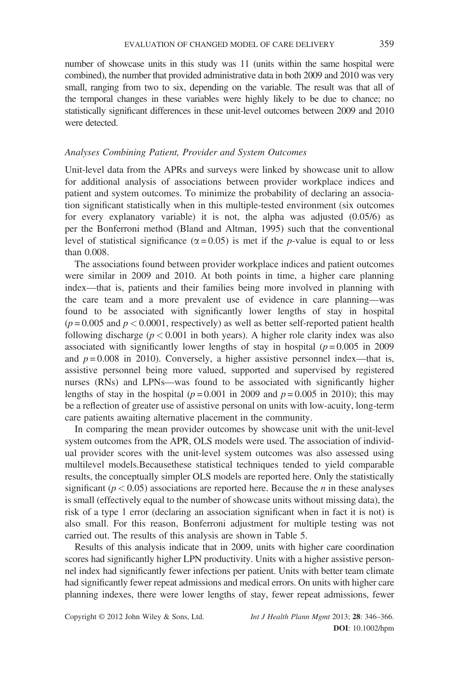number of showcase units in this study was 11 (units within the same hospital were combined), the number that provided administrative data in both 2009 and 2010 was very small, ranging from two to six, depending on the variable. The result was that all of the temporal changes in these variables were highly likely to be due to chance; no statistically significant differences in these unit-level outcomes between 2009 and 2010 were detected.

# Analyses Combining Patient, Provider and System Outcomes

Unit-level data from the APRs and surveys were linked by showcase unit to allow for additional analysis of associations between provider workplace indices and patient and system outcomes. To minimize the probability of declaring an association significant statistically when in this multiple-tested environment (six outcomes for every explanatory variable) it is not, the alpha was adjusted (0.05/6) as per the Bonferroni method (Bland and Altman, 1995) such that the conventional level of statistical significance ( $\alpha$  = 0.05) is met if the *p*-value is equal to or less than 0.008.

The associations found between provider workplace indices and patient outcomes were similar in 2009 and 2010. At both points in time, a higher care planning index—that is, patients and their families being more involved in planning with the care team and a more prevalent use of evidence in care planning—was found to be associated with significantly lower lengths of stay in hospital  $(p=0.005$  and  $p < 0.0001$ , respectively) as well as better self-reported patient health following discharge ( $p < 0.001$  in both years). A higher role clarity index was also associated with significantly lower lengths of stay in hospital  $(p=0.005$  in 2009 and  $p = 0.008$  in 2010). Conversely, a higher assistive personnel index—that is, assistive personnel being more valued, supported and supervised by registered nurses (RNs) and LPNs—was found to be associated with significantly higher lengths of stay in the hospital ( $p = 0.001$  in 2009 and  $p = 0.005$  in 2010); this may be a reflection of greater use of assistive personal on units with low-acuity, long-term care patients awaiting alternative placement in the community.

In comparing the mean provider outcomes by showcase unit with the unit-level system outcomes from the APR, OLS models were used. The association of individual provider scores with the unit-level system outcomes was also assessed using multilevel models.Becausethese statistical techniques tended to yield comparable results, the conceptually simpler OLS models are reported here. Only the statistically significant ( $p < 0.05$ ) associations are reported here. Because the *n* in these analyses is small (effectively equal to the number of showcase units without missing data), the risk of a type 1 error (declaring an association significant when in fact it is not) is also small. For this reason, Bonferroni adjustment for multiple testing was not carried out. The results of this analysis are shown in Table 5.

Results of this analysis indicate that in 2009, units with higher care coordination scores had significantly higher LPN productivity. Units with a higher assistive personnel index had significantly fewer infections per patient. Units with better team climate had significantly fewer repeat admissions and medical errors. On units with higher care planning indexes, there were lower lengths of stay, fewer repeat admissions, fewer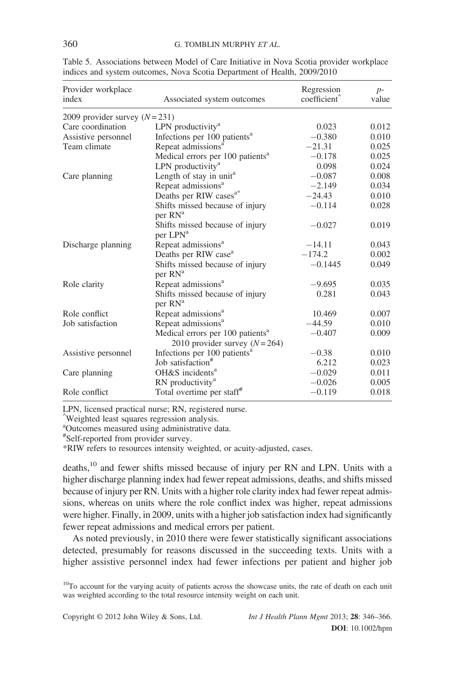| Provider workplace<br>index    | Associated system outcomes                                                     | Regression<br>coefficient | $p-$<br>value |
|--------------------------------|--------------------------------------------------------------------------------|---------------------------|---------------|
| 2009 provider survey $(N=231)$ |                                                                                |                           |               |
| Care coordination              | LPN productivity <sup>a</sup>                                                  | 0.023                     | 0.012         |
| Assistive personnel            | Infections per 100 patients <sup>a</sup>                                       | $-0.380$                  | 0.010         |
| Team climate                   | Repeat admissions <sup>a</sup>                                                 | $-21.31$                  | 0.025         |
|                                | Medical errors per 100 patients <sup>a</sup>                                   | $-0.178$                  | 0.025         |
|                                | LPN productivity <sup>a</sup>                                                  | 0.098                     | 0.024         |
| Care planning                  | Length of stay in unit <sup>a</sup>                                            | $-0.087$                  | 0.008         |
|                                | Repeat admissions <sup>a</sup>                                                 | $-2.149$                  | 0.034         |
|                                | Deaths per RIW cases <sup>a*</sup>                                             | $-24.43$                  | 0.010         |
|                                | Shifts missed because of injury<br>per RN <sup>a</sup>                         | $-0.114$                  | 0.028         |
|                                | Shifts missed because of injury<br>per LPN <sup>a</sup>                        | $-0.027$                  | 0.019         |
| Discharge planning             | Repeat admissions <sup>a</sup>                                                 | $-14.11$                  | 0.043         |
|                                | Deaths per RIW case <sup>a</sup>                                               | $-174.2$                  | 0.002         |
|                                | Shifts missed because of injury<br>per RN <sup>a</sup>                         | $-0.1445$                 | 0.049         |
| Role clarity                   | Repeat admissions <sup>a</sup>                                                 | $-9.695$                  | 0.035         |
|                                | Shifts missed because of injury<br>per RN <sup>a</sup>                         | 0.281                     | 0.043         |
| Role conflict                  | Repeat admissions <sup>a</sup>                                                 | 10.469                    | 0.007         |
| Job satisfaction               | Repeat admissions <sup>a</sup>                                                 | $-44.59$                  | 0.010         |
|                                | Medical errors per 100 patients <sup>a</sup><br>2010 provider survey $(N=264)$ | $-0.407$                  | 0.009         |
| Assistive personnel            | Infections per 100 patients <sup>a</sup>                                       | $-0.38$                   | 0.010         |
|                                | Job satisfaction <sup>#</sup>                                                  | 6.212                     | 0.023         |
| Care planning                  | OH&S incidents <sup>a</sup>                                                    | $-0.029$                  | 0.011         |
|                                | RN productivity <sup>a</sup>                                                   | $-0.026$                  | 0.005         |
| Role conflict                  | Total overtime per staff <sup>#</sup>                                          | $-0.119$                  | 0.018         |

Table 5. Associations between Model of Care Initiative in Nova Scotia provider workplace indices and system outcomes, Nova Scotia Department of Health, 2009/2010

LPN, licensed practical nurse; RN, registered nurse.

^ Weighted least squares regression analysis.

a Outcomes measured using administrative data.

# Self-reported from provider survey.

\*RIW refers to resources intensity weighted, or acuity-adjusted, cases.

deaths,<sup>10</sup> and fewer shifts missed because of injury per RN and LPN. Units with a higher discharge planning index had fewer repeat admissions, deaths, and shifts missed because of injury per RN. Units with a higher role clarity index had fewer repeat admissions, whereas on units where the role conflict index was higher, repeat admissions were higher. Finally, in 2009, units with a higher job satisfaction index had significantly fewer repeat admissions and medical errors per patient.

As noted previously, in 2010 there were fewer statistically significant associations detected, presumably for reasons discussed in the succeeding texts. Units with a higher assistive personnel index had fewer infections per patient and higher job

 $10$ To account for the varying acuity of patients across the showcase units, the rate of death on each unit was weighted according to the total resource intensity weight on each unit.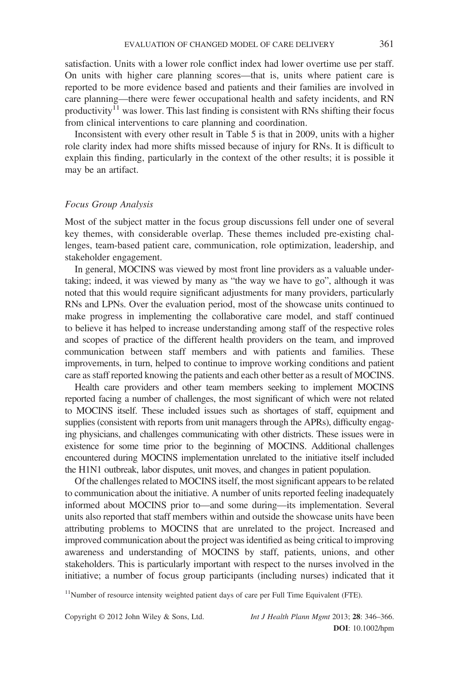satisfaction. Units with a lower role conflict index had lower overtime use per staff. On units with higher care planning scores—that is, units where patient care is reported to be more evidence based and patients and their families are involved in care planning—there were fewer occupational health and safety incidents, and RN productivity<sup> $11$ </sup> was lower. This last finding is consistent with RNs shifting their focus from clinical interventions to care planning and coordination.

Inconsistent with every other result in Table 5 is that in 2009, units with a higher role clarity index had more shifts missed because of injury for RNs. It is difficult to explain this finding, particularly in the context of the other results; it is possible it may be an artifact.

#### Focus Group Analysis

Most of the subject matter in the focus group discussions fell under one of several key themes, with considerable overlap. These themes included pre-existing challenges, team-based patient care, communication, role optimization, leadership, and stakeholder engagement.

In general, MOCINS was viewed by most front line providers as a valuable undertaking; indeed, it was viewed by many as "the way we have to go", although it was noted that this would require significant adjustments for many providers, particularly RNs and LPNs. Over the evaluation period, most of the showcase units continued to make progress in implementing the collaborative care model, and staff continued to believe it has helped to increase understanding among staff of the respective roles and scopes of practice of the different health providers on the team, and improved communication between staff members and with patients and families. These improvements, in turn, helped to continue to improve working conditions and patient care as staff reported knowing the patients and each other better as a result of MOCINS.

Health care providers and other team members seeking to implement MOCINS reported facing a number of challenges, the most significant of which were not related to MOCINS itself. These included issues such as shortages of staff, equipment and supplies (consistent with reports from unit managers through the APRs), difficulty engaging physicians, and challenges communicating with other districts. These issues were in existence for some time prior to the beginning of MOCINS. Additional challenges encountered during MOCINS implementation unrelated to the initiative itself included the H1N1 outbreak, labor disputes, unit moves, and changes in patient population.

Of the challenges related to MOCINS itself, the most significant appears to be related to communication about the initiative. A number of units reported feeling inadequately informed about MOCINS prior to—and some during—its implementation. Several units also reported that staff members within and outside the showcase units have been attributing problems to MOCINS that are unrelated to the project. Increased and improved communication about the project was identified as being critical to improving awareness and understanding of MOCINS by staff, patients, unions, and other stakeholders. This is particularly important with respect to the nurses involved in the initiative; a number of focus group participants (including nurses) indicated that it

 $11$ Number of resource intensity weighted patient days of care per Full Time Equivalent (FTE).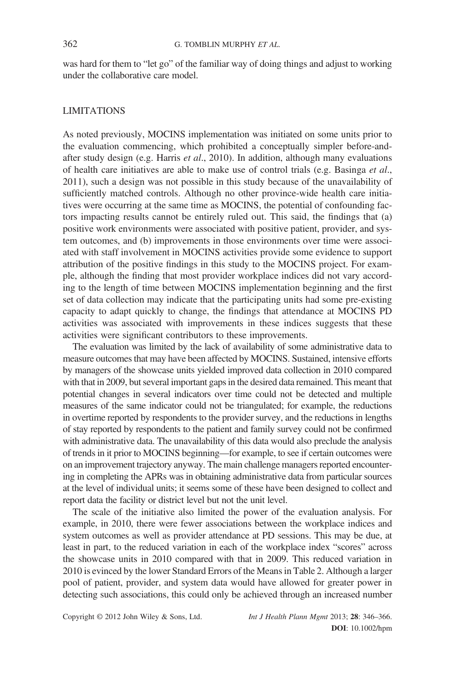was hard for them to "let go" of the familiar way of doing things and adjust to working under the collaborative care model.

# LIMITATIONS

As noted previously, MOCINS implementation was initiated on some units prior to the evaluation commencing, which prohibited a conceptually simpler before-andafter study design (e.g. Harris et al., 2010). In addition, although many evaluations of health care initiatives are able to make use of control trials (e.g. Basinga et al., 2011), such a design was not possible in this study because of the unavailability of sufficiently matched controls. Although no other province-wide health care initiatives were occurring at the same time as MOCINS, the potential of confounding factors impacting results cannot be entirely ruled out. This said, the findings that (a) positive work environments were associated with positive patient, provider, and system outcomes, and (b) improvements in those environments over time were associated with staff involvement in MOCINS activities provide some evidence to support attribution of the positive findings in this study to the MOCINS project. For example, although the finding that most provider workplace indices did not vary according to the length of time between MOCINS implementation beginning and the first set of data collection may indicate that the participating units had some pre-existing capacity to adapt quickly to change, the findings that attendance at MOCINS PD activities was associated with improvements in these indices suggests that these activities were significant contributors to these improvements.

The evaluation was limited by the lack of availability of some administrative data to measure outcomes that may have been affected by MOCINS. Sustained, intensive efforts by managers of the showcase units yielded improved data collection in 2010 compared with that in 2009, but several important gaps in the desired data remained. This meant that potential changes in several indicators over time could not be detected and multiple measures of the same indicator could not be triangulated; for example, the reductions in overtime reported by respondents to the provider survey, and the reductions in lengths of stay reported by respondents to the patient and family survey could not be confirmed with administrative data. The unavailability of this data would also preclude the analysis of trends in it prior to MOCINS beginning—for example, to see if certain outcomes were on an improvement trajectory anyway. The main challenge managers reported encountering in completing the APRs was in obtaining administrative data from particular sources at the level of individual units; it seems some of these have been designed to collect and report data the facility or district level but not the unit level.

The scale of the initiative also limited the power of the evaluation analysis. For example, in 2010, there were fewer associations between the workplace indices and system outcomes as well as provider attendance at PD sessions. This may be due, at least in part, to the reduced variation in each of the workplace index "scores" across the showcase units in 2010 compared with that in 2009. This reduced variation in 2010 is evinced by the lower Standard Errors of the Means in Table 2. Although a larger pool of patient, provider, and system data would have allowed for greater power in detecting such associations, this could only be achieved through an increased number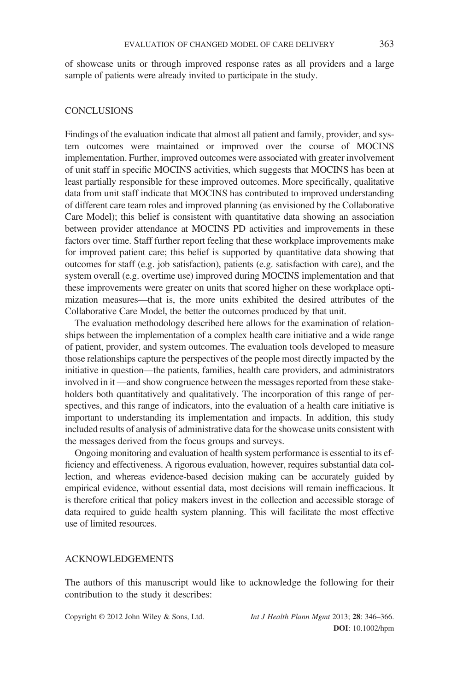of showcase units or through improved response rates as all providers and a large sample of patients were already invited to participate in the study.

## **CONCLUSIONS**

Findings of the evaluation indicate that almost all patient and family, provider, and system outcomes were maintained or improved over the course of MOCINS implementation. Further, improved outcomes were associated with greater involvement of unit staff in specific MOCINS activities, which suggests that MOCINS has been at least partially responsible for these improved outcomes. More specifically, qualitative data from unit staff indicate that MOCINS has contributed to improved understanding of different care team roles and improved planning (as envisioned by the Collaborative Care Model); this belief is consistent with quantitative data showing an association between provider attendance at MOCINS PD activities and improvements in these factors over time. Staff further report feeling that these workplace improvements make for improved patient care; this belief is supported by quantitative data showing that outcomes for staff (e.g. job satisfaction), patients (e.g. satisfaction with care), and the system overall (e.g. overtime use) improved during MOCINS implementation and that these improvements were greater on units that scored higher on these workplace optimization measures—that is, the more units exhibited the desired attributes of the Collaborative Care Model, the better the outcomes produced by that unit.

The evaluation methodology described here allows for the examination of relationships between the implementation of a complex health care initiative and a wide range of patient, provider, and system outcomes. The evaluation tools developed to measure those relationships capture the perspectives of the people most directly impacted by the initiative in question—the patients, families, health care providers, and administrators involved in it —and show congruence between the messages reported from these stakeholders both quantitatively and qualitatively. The incorporation of this range of perspectives, and this range of indicators, into the evaluation of a health care initiative is important to understanding its implementation and impacts. In addition, this study included results of analysis of administrative data for the showcase units consistent with the messages derived from the focus groups and surveys.

Ongoing monitoring and evaluation of health system performance is essential to its efficiency and effectiveness. A rigorous evaluation, however, requires substantial data collection, and whereas evidence-based decision making can be accurately guided by empirical evidence, without essential data, most decisions will remain inefficacious. It is therefore critical that policy makers invest in the collection and accessible storage of data required to guide health system planning. This will facilitate the most effective use of limited resources.

## ACKNOWLEDGEMENTS

The authors of this manuscript would like to acknowledge the following for their contribution to the study it describes: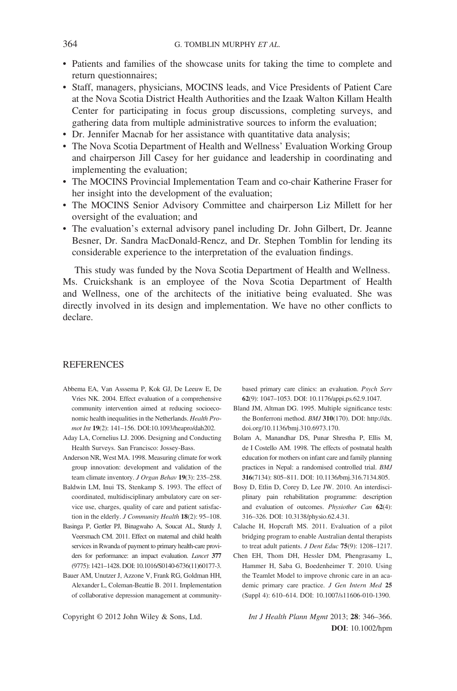- Patients and families of the showcase units for taking the time to complete and return questionnaires;
- Staff, managers, physicians, MOCINS leads, and Vice Presidents of Patient Care at the Nova Scotia District Health Authorities and the Izaak Walton Killam Health Center for participating in focus group discussions, completing surveys, and gathering data from multiple administrative sources to inform the evaluation;
- Dr. Jennifer Macnab for her assistance with quantitative data analysis;
- The Nova Scotia Department of Health and Wellness' Evaluation Working Group and chairperson Jill Casey for her guidance and leadership in coordinating and implementing the evaluation;
- The MOCINS Provincial Implementation Team and co-chair Katherine Fraser for her insight into the development of the evaluation;
- The MOCINS Senior Advisory Committee and chairperson Liz Millett for her oversight of the evaluation; and
- The evaluation's external advisory panel including Dr. John Gilbert, Dr. Jeanne Besner, Dr. Sandra MacDonald-Rencz, and Dr. Stephen Tomblin for lending its considerable experience to the interpretation of the evaluation findings.

This study was funded by the Nova Scotia Department of Health and Wellness. Ms. Cruickshank is an employee of the Nova Scotia Department of Health and Wellness, one of the architects of the initiative being evaluated. She was directly involved in its design and implementation. We have no other conflicts to declare.

#### **REFERENCES**

- Abbema EA, Van Asssema P, Kok GJ, De Leeuw E, De Vries NK. 2004. Effect evaluation of a comprehensive community intervention aimed at reducing socioeconomic health inequalities in the Netherlands. Health Promot Int 19(2): 141–156. DOI:10.1093/heapro/dah202.
- Aday LA, Cornelius LJ. 2006. Designing and Conducting Health Surveys. San Francisco: Jossey-Bass.
- Anderson NR, West MA. 1998. Measuring climate for work group innovation: development and validation of the team climate inventory. J Organ Behav 19(3): 235-258.
- Baldwin LM, Inui TS, Stenkamp S. 1993. The effect of coordinated, multidisciplinary ambulatory care on service use, charges, quality of care and patient satisfaction in the elderly. *J Community Health* 18(2): 95-108.
- Basinga P, Gertler PJ, Binagwaho A, Soucat AL, Sturdy J, Veersmach CM. 2011. Effect on maternal and child health services in Rwanda of payment to primary health-care providers for performance: an impact evaluation. Lancet 377 (9775): 1421–1428. DOI: 10.1016/S0140-6736(11)60177-3.
- Bauer AM, Unutzer J, Azzone V, Frank RG, Goldman HH, Alexander L, Coleman-Beattie B. 2011. Implementation of collaborative depression management at community-

based primary care clinics: an evaluation. Psych Serv 62(9): 1047–1053. DOI: 10.1176/appi.ps.62.9.1047.

- Bland JM, Altman DG. 1995. Multiple significance tests: the Bonferroni method. BMJ 310(170). DOI: [http://dx.](http://dx.doi.org/10.1136/bmj.310.6973.170) [doi.org/10.1136/bmj.310.6973.170](http://dx.doi.org/10.1136/bmj.310.6973.170).
- Bolam A, Manandhar DS, Punar Shrestha P, Ellis M, de I Costello AM. 1998. The effects of postnatal health education for mothers on infant care and family planning practices in Nepal: a randomised controlled trial. BMJ 316(7134): 805–811. DOI: 10.1136/bmj.316.7134.805.
- Bosy D, Etlin D, Corey D, Lee JW. 2010. An interdisciplinary pain rehabilitation programme: description and evaluation of outcomes. Physiother Can 62(4): 316–326. DOI: 10.3138/physio.62.4.31.
- Calache H, Hopcraft MS. 2011. Evaluation of a pilot bridging program to enable Australian dental therapists to treat adult patients. *J Dent Educ* 75(9): 1208-1217.
- Chen EH, Thom DH, Hessler DM, Phengrasamy L, Hammer H, Saba G, Boedenheimer T. 2010. Using the Teamlet Model to improve chronic care in an academic primary care practice. J Gen Intern Med 25 (Suppl 4): 610–614. DOI: 10.1007/s11606-010-1390.

Copyright © 2012 John Wiley & Sons, Ltd. Int J Health Plann Mgmt 2013; 28: 346–366. DOI: 10.1002/hpm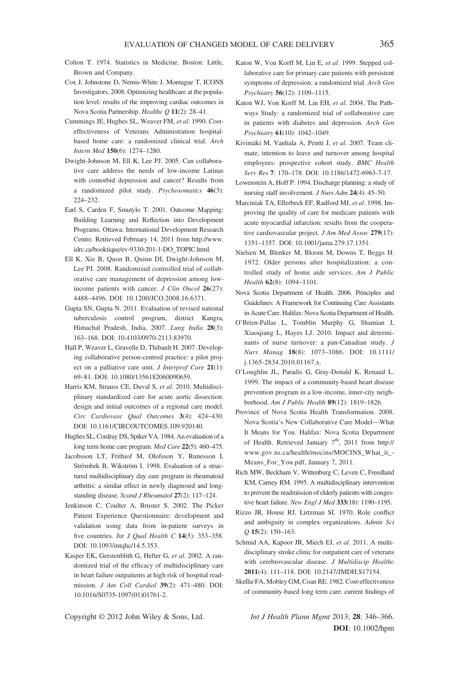- Colton T. 1974. Statistics in Medicine. Boston: Little, Brown and Company.
- Cox J, Johnstone D, Nemis-White J, Montague T, ICONS Investigators. 2008. Optimizing healthcare at the population level: results of the improving cardiac outcomes in Nova Scotia Partnership. Healthc Q 11(2): 28–41.
- Cummings JE, Hughes SL, Weaver FM, et al. 1990. Costeffectiveness of Veterans Administration hospitalbased home care: a randomized clinical trial. Arch Intern Med 150(6): 1274–1280.
- Dwight-Johnson M, Ell K, Lee PJ. 2005. Can collaborative care address the needs of low-income Latinas with comorbid depression and cancer? Results from a randomized pilot study. Psychosomatics 46(3): 224–232.
- Earl S, Carden F, Smutylo T. 2001. Outcome Mapping: Building Learning and Reflection into Development Programs. Ottawa: International Development Research Centre. Retrieved February 14, 2011 from [http://www.](http://www.idrc.ca/booktique/ev-9330-201-1-DO_TOPIC.html) [idrc.ca/booktique/ev-9330-201-1-DO\\_TOPIC.html.](http://www.idrc.ca/booktique/ev-9330-201-1-DO_TOPIC.html)
- Ell K, Xie B, Quon B, Quinn DI, Dwight-Johnson M, Lee PJ. 2008. Randomized controlled trial of collaborative care management of depression among lowincome patients with cancer. J Clin Oncol 26(27): 4488–4496. DOI: 10.1200/JCO.2008.16.6371.
- Gupta SN, Gupta N. 2011. Evaluation of revised national tuberculosis control program, district Kangra, Himachal Pradesh, India, 2007. Lung India 28(3): 163–168. DOI: 10.4103/0970-2113.83970.
- Hall P, Weaver L, Gravelle D, Thibault H. 2007. Developing collaborative person-centred practice: a pilot project on a palliative care unit. J Interprof Care 21(1): 69–81. DOI: 10.1080/1356182060090659.
- Harris KM, Strauss CE, Duval S, et al. 2010. Multidisciplinary standardized care for acute aortic dissection: design and initial outcomes of a regional care model. Circ Cardiovasc Qual Outcomes 3(4): 424–430. DOI: 10.1161/CIRCOUTCOMES.109.920140.
- Hughes SL, Cordray DS, Spiker VA. 1984. An evaluation of a long term home care program. Med Care 22(5): 460–475.
- Jacobsson LT, Frithiof M, Olofsson Y, Runesson I, Strömbek B, Wikström I. 1998. Evaluation of a structured multidisciplinary day care program in rheumatoid arthritis: a similar effect in newly diagnosed and longstanding disease. Scand J Rheumatol 27(2): 117-124.
- Jenkinson C, Coulter A, Bruster S. 2002. The Picker Patient Experience Questionnaire: development and validation using data from in-patient surveys in five countries. Int J Qual Health C 14(5): 353-358. DOI: 10.1093/intqhc/14.5.353.
- Kasper EK, Gerstenblith G, Hefter G, et al. 2002. A randomized trial of the efficacy of multidisciplinary care in heart failure outpatients at high risk of hospital readmission. J Am Coll Cardiol 39(2): 471–480. DOI: 10.1016/S0735-1097(01)01761-2.
- Katon W, Von Korff M, Lin E, et al. 1999. Stepped collaborative care for primary care patients with persistent symptoms of depression: a randomized trial. Arch Gen Psychiatry 56(12): 1109–1115.
- Katon WJ, Von Korff M, Lin EH, et al. 2004. The Pathways Study: a randomized trial of collaborative care in patients with diabetes and depression. Arch Gen Psychiatry 61(10): 1042–1049.
- Kivimäki M, Vanhala A, Pentti J, et al. 2007. Team climate, intention to leave and turnover among hospital employees: prospective cohort study. BMC Health Serv Res 7: 170–178. DOI: 10.1186/1472-6963-7-17.
- Lowenstein A, Hoff P. 1994. Discharge planning: a study of nursing staff involvement. J Nurs Adm 24(4): 45–50.
- Marciniak TA, Ellerbeck EF, Radford MJ, et al. 1998. Improving the quality of care for medicare patients with acute myocardial infarction: results from the cooperative cardiovascular project. *J Am Med Assoc* 279(17): 1351–1357. DOI: 10.1001/jama.279.17.1351.
- Nielsen M, Blenker M, Bloom M, Downs T, Beggs H. 1972. Older persons after hospitalization: a controlled study of home aide services. Am J Public Health 62(8): 1094–1101.
- Nova Scotia Department of Health. 2006. Principles and Guidelines: A Framework for Continuing Care Assistants in Acute Care. Halifax: Nova Scotia Department of Health.
- O'Brien-Pallas L, Tomblin Murphy G, Shamian J, Xiaoqiang L, Hayes LJ. 2010. Impact and determinants of nurse turnover: a pan-Canadian study. J Nurs Manag 18(8): 1073–1086. DOI: 10.1111/ j.1365-2834.2010.01167.x.
- O'Loughlin JL, Paradis G, Gray-Donald K, Renaud L. 1999. The impact of a community-based heart disease prevention program in a low-income, inner-city neighborhood. Am J Public Health 89(12): 1819–1826.
- Province of Nova Scotia Health Transformation. 2008. Nova Scotia's New Collaborative Care Model—What It Means for You. Halifax: Nova Scotia Department of Health. Retrieved January  $7<sup>th</sup>$ , 2011 from [http://](http://www.gov.ns.ca/health/mocins/MOCINS_What_it_Means_For_You.pdf) [www.gov.ns.ca/health/mocins/MOCINS\\_What\\_it\\_-](http://www.gov.ns.ca/health/mocins/MOCINS_What_it_Means_For_You.pdf) [Means\\_For\\_You.pdf,](http://www.gov.ns.ca/health/mocins/MOCINS_What_it_Means_For_You.pdf) January 7, 2011.
- Rich MW, Beckham V, Wittenburg C, Leven C, Freedland KM, Carney RM. 1995. A multidisciplinary intervention to prevent the readmission of elderly patients with congestive heart failure. New Engl J Med 333(18): 1190–1195.
- Rizzo JR, House RJ, Lirtzman SI. 1970. Role conflict and ambiguity in complex organizations. Admin Sci Q 15(2): 150–163.
- Schmid AA, Kapoor JR, Miech EJ, et al. 2011. A multidisciplinary stroke clinic for outpatient care of veterans with cerebrovascular disease. J Multidiscip Healthc 2011(4): 111–118. DOI: 10.2147/JMDH.S17154.
- Skellie FA, Mobley GM, Coan RE. 1982. Cost-effectiveness of community-based long term care: current findings of

Copyright © 2012 John Wiley & Sons, Ltd. Int J Health Plann Mgmt 2013; 28: 346–366. DOI: 10.1002/hpm